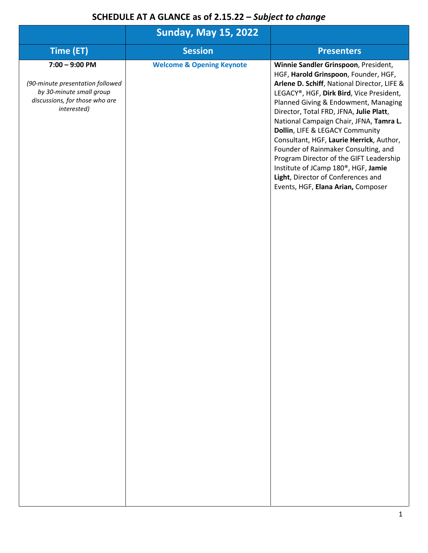|                                                                                                                                   | <b>Sunday, May 15, 2022</b>          |                                                                                                                                                                                                                                                                                                                                                                                                                                                                                                                                                                                                         |
|-----------------------------------------------------------------------------------------------------------------------------------|--------------------------------------|---------------------------------------------------------------------------------------------------------------------------------------------------------------------------------------------------------------------------------------------------------------------------------------------------------------------------------------------------------------------------------------------------------------------------------------------------------------------------------------------------------------------------------------------------------------------------------------------------------|
| Time (ET)                                                                                                                         | <b>Session</b>                       | <b>Presenters</b>                                                                                                                                                                                                                                                                                                                                                                                                                                                                                                                                                                                       |
| $7:00 - 9:00$ PM<br>(90-minute presentation followed<br>by 30-minute small group<br>discussions, for those who are<br>interested) | <b>Welcome &amp; Opening Keynote</b> | Winnie Sandler Grinspoon, President,<br>HGF, Harold Grinspoon, Founder, HGF,<br>Arlene D. Schiff, National Director, LIFE &<br>LEGACY®, HGF, Dirk Bird, Vice President,<br>Planned Giving & Endowment, Managing<br>Director, Total FRD, JFNA, Julie Platt,<br>National Campaign Chair, JFNA, Tamra L.<br>Dollin, LIFE & LEGACY Community<br>Consultant, HGF, Laurie Herrick, Author,<br>Founder of Rainmaker Consulting, and<br>Program Director of the GIFT Leadership<br>Institute of JCamp 180 <sup>®</sup> , HGF, Jamie<br>Light, Director of Conferences and<br>Events, HGF, Elana Arian, Composer |
|                                                                                                                                   |                                      |                                                                                                                                                                                                                                                                                                                                                                                                                                                                                                                                                                                                         |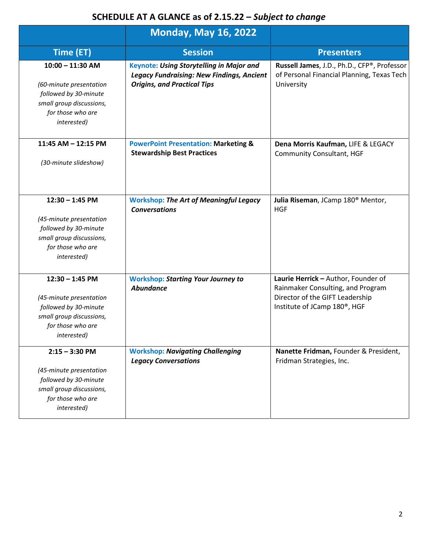|                                                                                                                                        | <b>Monday, May 16, 2022</b>                                                                                                               |                                                                                                                                                          |
|----------------------------------------------------------------------------------------------------------------------------------------|-------------------------------------------------------------------------------------------------------------------------------------------|----------------------------------------------------------------------------------------------------------------------------------------------------------|
| Time (ET)                                                                                                                              | <b>Session</b>                                                                                                                            | <b>Presenters</b>                                                                                                                                        |
| $10:00 - 11:30$ AM<br>(60-minute presentation<br>followed by 30-minute<br>small group discussions,<br>for those who are<br>interested) | <b>Keynote: Using Storytelling in Major and</b><br><b>Legacy Fundraising: New Findings, Ancient</b><br><b>Origins, and Practical Tips</b> | Russell James, J.D., Ph.D., CFP®, Professor<br>of Personal Financial Planning, Texas Tech<br>University                                                  |
| 11:45 AM - 12:15 PM<br>(30-minute slideshow)                                                                                           | <b>PowerPoint Presentation: Marketing &amp;</b><br><b>Stewardship Best Practices</b>                                                      | Dena Morris Kaufman, LIFE & LEGACY<br><b>Community Consultant, HGF</b>                                                                                   |
| $12:30 - 1:45$ PM<br>(45-minute presentation<br>followed by 30-minute<br>small group discussions,<br>for those who are<br>interested)  | <b>Workshop: The Art of Meaningful Legacy</b><br><b>Conversations</b>                                                                     | Julia Riseman, JCamp 180 <sup>®</sup> Mentor,<br><b>HGF</b>                                                                                              |
| $12:30 - 1:45$ PM<br>(45-minute presentation<br>followed by 30-minute<br>small group discussions,<br>for those who are<br>interested)  | <b>Workshop: Starting Your Journey to</b><br><b>Abundance</b>                                                                             | Laurie Herrick - Author, Founder of<br>Rainmaker Consulting, and Program<br>Director of the GIFT Leadership<br>Institute of JCamp 180 <sup>®</sup> , HGF |
| $2:15 - 3:30$ PM<br>(45-minute presentation<br>followed by 30-minute<br>small group discussions,<br>for those who are<br>interested)   | <b>Workshop: Navigating Challenging</b><br><b>Legacy Conversations</b>                                                                    | Nanette Fridman, Founder & President,<br>Fridman Strategies, Inc.                                                                                        |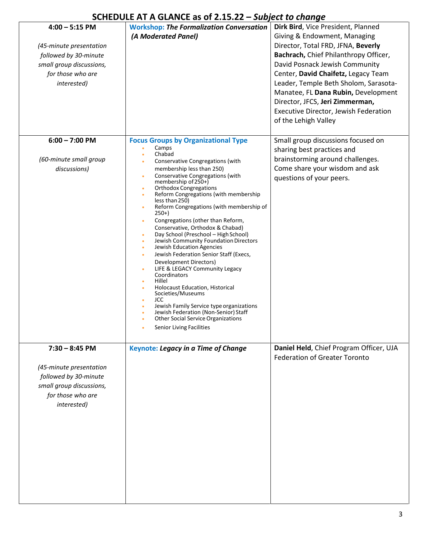|                                                                                                                                      | SCHEDULE AT A GLANCE as of 2.15.22 – Subject to change                                                                                                                                                                                                                                                                                                                                                                                                                                                                                                                                                                                                                                                                                                                                                                                                                                                         |                                                                                                                                                                                                                                                                                                                                                                                                                |  |  |  |
|--------------------------------------------------------------------------------------------------------------------------------------|----------------------------------------------------------------------------------------------------------------------------------------------------------------------------------------------------------------------------------------------------------------------------------------------------------------------------------------------------------------------------------------------------------------------------------------------------------------------------------------------------------------------------------------------------------------------------------------------------------------------------------------------------------------------------------------------------------------------------------------------------------------------------------------------------------------------------------------------------------------------------------------------------------------|----------------------------------------------------------------------------------------------------------------------------------------------------------------------------------------------------------------------------------------------------------------------------------------------------------------------------------------------------------------------------------------------------------------|--|--|--|
| $4:00 - 5:15$ PM<br>(45-minute presentation<br>followed by 30-minute<br>small group discussions,<br>for those who are<br>interested) | <b>Workshop: The Formalization Conversation</b><br>(A Moderated Panel)                                                                                                                                                                                                                                                                                                                                                                                                                                                                                                                                                                                                                                                                                                                                                                                                                                         | Dirk Bird, Vice President, Planned<br>Giving & Endowment, Managing<br>Director, Total FRD, JFNA, Beverly<br>Bachrach, Chief Philanthropy Officer,<br>David Posnack Jewish Community<br>Center, David Chaifetz, Legacy Team<br>Leader, Temple Beth Sholom, Sarasota-<br>Manatee, FL Dana Rubin, Development<br>Director, JFCS, Jeri Zimmerman,<br>Executive Director, Jewish Federation<br>of the Lehigh Valley |  |  |  |
| $6:00 - 7:00$ PM<br>(60-minute small group<br>discussions)                                                                           | <b>Focus Groups by Organizational Type</b><br>Camps<br>Chabad<br>Conservative Congregations (with<br>membership less than 250)<br>Conservative Congregations (with<br>۰<br>membership of $250+$ )<br><b>Orthodox Congregations</b><br>Reform Congregations (with membership<br>less than 250)<br>Reform Congregations (with membership of<br>$250+$<br>Congregations (other than Reform,<br>Conservative, Orthodox & Chabad)<br>Day School (Preschool - High School)<br>Jewish Community Foundation Directors<br>Jewish Education Agencies<br>Jewish Federation Senior Staff (Execs,<br>Development Directors)<br>LIFE & LEGACY Community Legacy<br>Coordinators<br>Hillel<br>Holocaust Education, Historical<br>Societies/Museums<br>JCC.<br>Jewish Family Service type organizations<br>Jewish Federation (Non-Senior) Staff<br><b>Other Social Service Organizations</b><br><b>Senior Living Facilities</b> | Small group discussions focused on<br>sharing best practices and<br>brainstorming around challenges.<br>Come share your wisdom and ask<br>questions of your peers.                                                                                                                                                                                                                                             |  |  |  |
| $7:30 - 8:45$ PM<br>(45-minute presentation<br>followed by 30-minute<br>small group discussions,<br>for those who are<br>interested) | <b>Keynote: Legacy in a Time of Change</b>                                                                                                                                                                                                                                                                                                                                                                                                                                                                                                                                                                                                                                                                                                                                                                                                                                                                     | Daniel Held, Chief Program Officer, UJA<br><b>Federation of Greater Toronto</b>                                                                                                                                                                                                                                                                                                                                |  |  |  |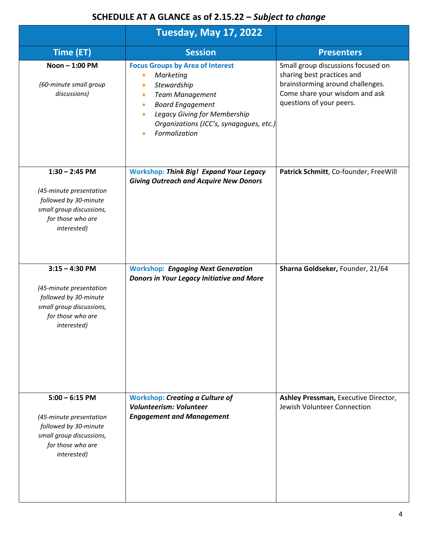|                                                                                                                                      | <b>Tuesday, May 17, 2022</b>                                                                                                                                                                                                                                             |                                                                                                                                                                    |
|--------------------------------------------------------------------------------------------------------------------------------------|--------------------------------------------------------------------------------------------------------------------------------------------------------------------------------------------------------------------------------------------------------------------------|--------------------------------------------------------------------------------------------------------------------------------------------------------------------|
| Time (ET)                                                                                                                            | <b>Session</b>                                                                                                                                                                                                                                                           | <b>Presenters</b>                                                                                                                                                  |
| Noon-1:00 PM<br>(60-minute small group<br>discussions)                                                                               | <b>Focus Groups by Area of Interest</b><br>Marketing<br>$\bullet$<br>Stewardship<br><b>Team Management</b><br>$\bullet$<br><b>Board Engagement</b><br>$\bullet$<br>Legacy Giving for Membership<br>$\bullet$<br>Organizations (JCC's, synagogues, etc.)<br>Formalization | Small group discussions focused on<br>sharing best practices and<br>brainstorming around challenges.<br>Come share your wisdom and ask<br>questions of your peers. |
| $1:30 - 2:45$ PM<br>(45-minute presentation<br>followed by 30-minute<br>small group discussions,<br>for those who are<br>interested) | <b>Workshop: Think Big! Expand Your Legacy</b><br><b>Giving Outreach and Acquire New Donors</b>                                                                                                                                                                          | Patrick Schmitt, Co-founder, FreeWill                                                                                                                              |
| $3:15 - 4:30$ PM<br>(45-minute presentation<br>followed by 30-minute<br>small group discussions,<br>for those who are<br>interested) | <b>Workshop: Engaging Next Generation</b><br><b>Donors in Your Legacy Initiative and More</b>                                                                                                                                                                            | Sharna Goldseker, Founder, 21/64                                                                                                                                   |
| $5:00 - 6:15$ PM<br>(45-minute presentation<br>followed by 30-minute<br>small group discussions,<br>for those who are<br>interested) | <b>Workshop: Creating a Culture of</b><br><b>Volunteerism: Volunteer</b><br><b>Engagement and Management</b>                                                                                                                                                             | Ashley Pressman, Executive Director,<br>Jewish Volunteer Connection                                                                                                |